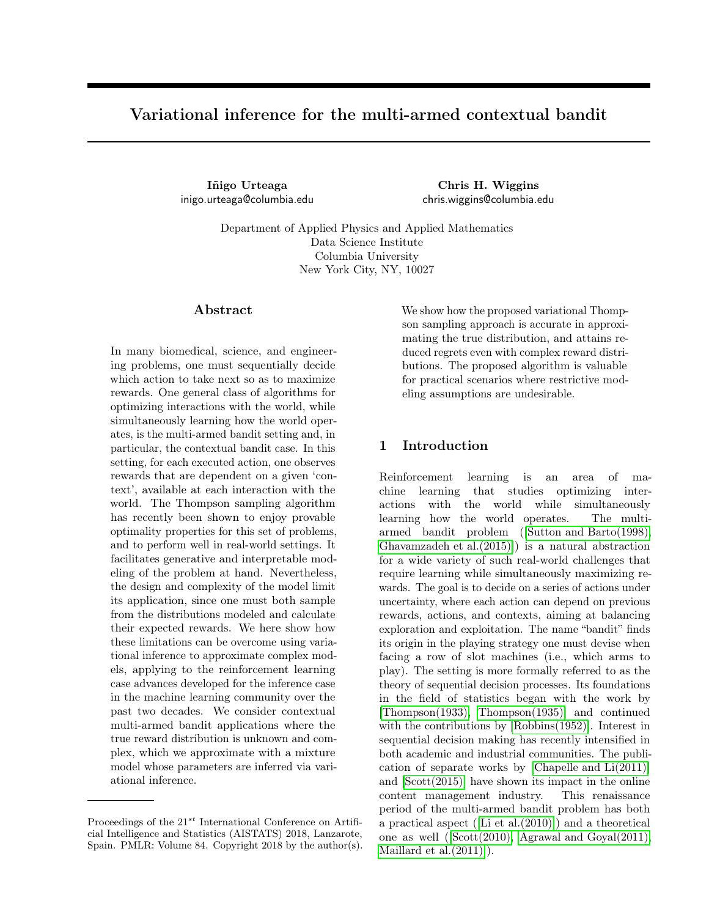# Variational inference for the multi-armed contextual bandit

Iñigo Urteaga inigo.urteaga@columbia.edu

Chris H. Wiggins chris.wiggins@columbia.edu

Department of Applied Physics and Applied Mathematics Data Science Institute Columbia University New York City, NY, 10027

# Abstract

In many biomedical, science, and engineering problems, one must sequentially decide which action to take next so as to maximize rewards. One general class of algorithms for optimizing interactions with the world, while simultaneously learning how the world operates, is the multi-armed bandit setting and, in particular, the contextual bandit case. In this setting, for each executed action, one observes rewards that are dependent on a given 'context', available at each interaction with the world. The Thompson sampling algorithm has recently been shown to enjoy provable optimality properties for this set of problems, and to perform well in real-world settings. It facilitates generative and interpretable modeling of the problem at hand. Nevertheless, the design and complexity of the model limit its application, since one must both sample from the distributions modeled and calculate their expected rewards. We here show how these limitations can be overcome using variational inference to approximate complex models, applying to the reinforcement learning case advances developed for the inference case in the machine learning community over the past two decades. We consider contextual multi-armed bandit applications where the true reward distribution is unknown and complex, which we approximate with a mixture model whose parameters are inferred via variational inference.

We show how the proposed variational Thompson sampling approach is accurate in approximating the true distribution, and attains reduced regrets even with complex reward distributions. The proposed algorithm is valuable for practical scenarios where restrictive modeling assumptions are undesirable.

# 1 Introduction

Reinforcement learning is an area of machine learning that studies optimizing interactions with the world while simultaneously learning how the world operates. The multiarmed bandit problem ([\[Sutton and Barto\(1998\),](#page-8-0) [Ghavamzadeh et al.\(2015\)\]](#page-7-0)) is a natural abstraction for a wide variety of such real-world challenges that require learning while simultaneously maximizing rewards. The goal is to decide on a series of actions under uncertainty, where each action can depend on previous rewards, actions, and contexts, aiming at balancing exploration and exploitation. The name "bandit" finds its origin in the playing strategy one must devise when facing a row of slot machines (i.e., which arms to play). The setting is more formally referred to as the theory of sequential decision processes. Its foundations in the field of statistics began with the work by [\[Thompson\(1933\),](#page-8-1) [Thompson\(1935\)\]](#page-8-2) and continued with the contributions by [\[Robbins\(1952\)\]](#page-8-3). Interest in sequential decision making has recently intensified in both academic and industrial communities. The publication of separate works by [\[Chapelle and Li\(2011\)\]](#page-7-1) and [\[Scott\(2015\)\]](#page-8-4) have shown its impact in the online content management industry. This renaissance period of the multi-armed bandit problem has both a practical aspect ([\[Li et al.\(2010\)\]](#page-8-5)) and a theoretical one as well ([\[Scott\(2010\),](#page-8-6) [Agrawal and Goyal\(2011\),](#page-7-2) [Maillard et al.\(2011\)\]](#page-8-7)).

Proceedings of the  $21^{st}$  International Conference on Artificial Intelligence and Statistics (AISTATS) 2018, Lanzarote, Spain. PMLR: Volume 84. Copyright 2018 by the author(s).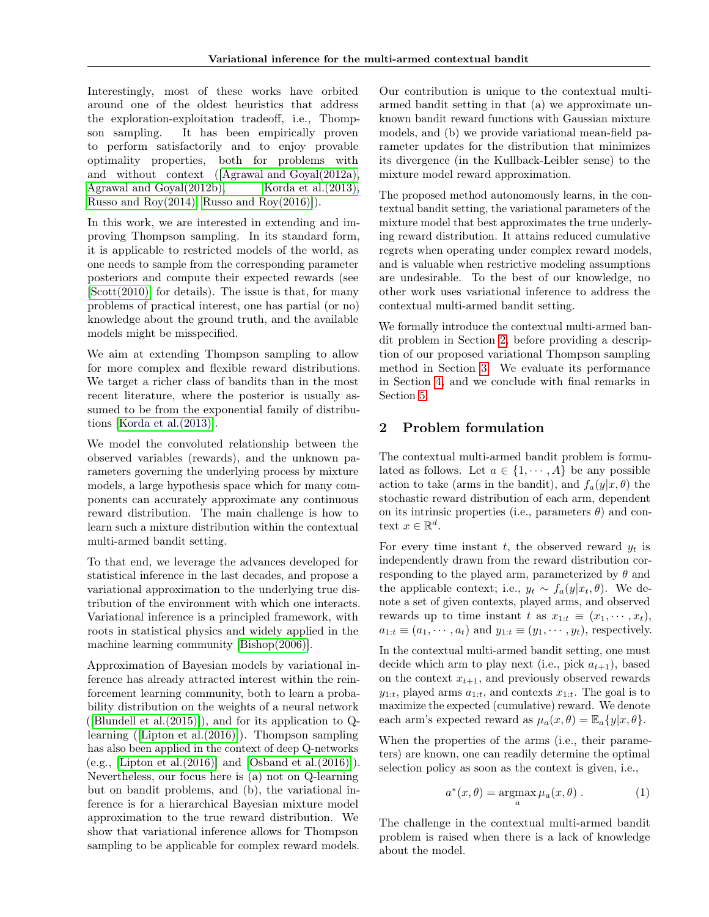Interestingly, most of these works have orbited around one of the oldest heuristics that address the exploration-exploitation tradeoff, i.e., Thompson sampling. It has been empirically proven to perform satisfactorily and to enjoy provable optimality properties, both for problems with and without context ([\[Agrawal and Goyal\(2012a\),](#page-7-3) [Agrawal and Goyal\(2012b\),](#page-7-4) [Korda et al.\(2013\),](#page-7-5) [Russo and Roy\(2014\),](#page-8-8) [Russo and Roy\(2016\)\]](#page-8-9)).

In this work, we are interested in extending and improving Thompson sampling. In its standard form, it is applicable to restricted models of the world, as one needs to sample from the corresponding parameter posteriors and compute their expected rewards (see [\[Scott\(2010\)\]](#page-8-6) for details). The issue is that, for many problems of practical interest, one has partial (or no) knowledge about the ground truth, and the available models might be misspecified.

We aim at extending Thompson sampling to allow for more complex and flexible reward distributions. We target a richer class of bandits than in the most recent literature, where the posterior is usually assumed to be from the exponential family of distributions [\[Korda et al.\(2013\)\]](#page-7-5).

We model the convoluted relationship between the observed variables (rewards), and the unknown parameters governing the underlying process by mixture models, a large hypothesis space which for many components can accurately approximate any continuous reward distribution. The main challenge is how to learn such a mixture distribution within the contextual multi-armed bandit setting.

To that end, we leverage the advances developed for statistical inference in the last decades, and propose a variational approximation to the underlying true distribution of the environment with which one interacts. Variational inference is a principled framework, with roots in statistical physics and widely applied in the machine learning community [\[Bishop\(2006\)\]](#page-7-6).

Approximation of Bayesian models by variational inference has already attracted interest within the reinforcement learning community, both to learn a probability distribution on the weights of a neural network ([Blundell et al. $(2015)$ ]), and for its application to Qlearning ([\[Lipton et al.\(2016\)\]](#page-8-10)). Thompson sampling has also been applied in the context of deep Q-networks (e.g., [Lipton et al. $(2016)$ ] and [Osband et al. $(2016)$ ]). Nevertheless, our focus here is (a) not on Q-learning but on bandit problems, and (b), the variational inference is for a hierarchical Bayesian mixture model approximation to the true reward distribution. We show that variational inference allows for Thompson sampling to be applicable for complex reward models.

Our contribution is unique to the contextual multiarmed bandit setting in that (a) we approximate unknown bandit reward functions with Gaussian mixture models, and (b) we provide variational mean-field parameter updates for the distribution that minimizes its divergence (in the Kullback-Leibler sense) to the mixture model reward approximation.

The proposed method autonomously learns, in the contextual bandit setting, the variational parameters of the mixture model that best approximates the true underlying reward distribution. It attains reduced cumulative regrets when operating under complex reward models, and is valuable when restrictive modeling assumptions are undesirable. To the best of our knowledge, no other work uses variational inference to address the contextual multi-armed bandit setting.

We formally introduce the contextual multi-armed bandit problem in Section [2,](#page-1-0) before providing a description of our proposed variational Thompson sampling method in Section [3.](#page-2-0) We evaluate its performance in Section [4,](#page-5-0) and we conclude with final remarks in Section [5.](#page-7-8)

# <span id="page-1-0"></span>2 Problem formulation

The contextual multi-armed bandit problem is formulated as follows. Let  $a \in \{1, \dots, A\}$  be any possible action to take (arms in the bandit), and  $f_a(y|x, \theta)$  the stochastic reward distribution of each arm, dependent on its intrinsic properties (i.e., parameters  $\theta$ ) and context  $x \in \mathbb{R}^d$ .

For every time instant t, the observed reward  $y_t$  is independently drawn from the reward distribution corresponding to the played arm, parameterized by  $\theta$  and the applicable context; i.e.,  $y_t \sim f_a(y|x_t, \theta)$ . We denote a set of given contexts, played arms, and observed rewards up to time instant t as  $x_{1:t} \equiv (x_1, \dots, x_t)$ ,  $a_{1:t} \equiv (a_1, \dots, a_t)$  and  $y_{1:t} \equiv (y_1, \dots, y_t)$ , respectively.

In the contextual multi-armed bandit setting, one must decide which arm to play next (i.e., pick  $a_{t+1}$ ), based on the context  $x_{t+1}$ , and previously observed rewards  $y_{1:t}$ , played arms  $a_{1:t}$ , and contexts  $x_{1:t}$ . The goal is to maximize the expected (cumulative) reward. We denote each arm's expected reward as  $\mu_a(x, \theta) = \mathbb{E}_a\{y|x, \theta\}.$ 

When the properties of the arms (i.e., their parameters) are known, one can readily determine the optimal selection policy as soon as the context is given, i.e.,

$$
a^*(x,\theta) = \operatorname*{argmax}_a \mu_a(x,\theta).
$$
 (1)

The challenge in the contextual multi-armed bandit problem is raised when there is a lack of knowledge about the model.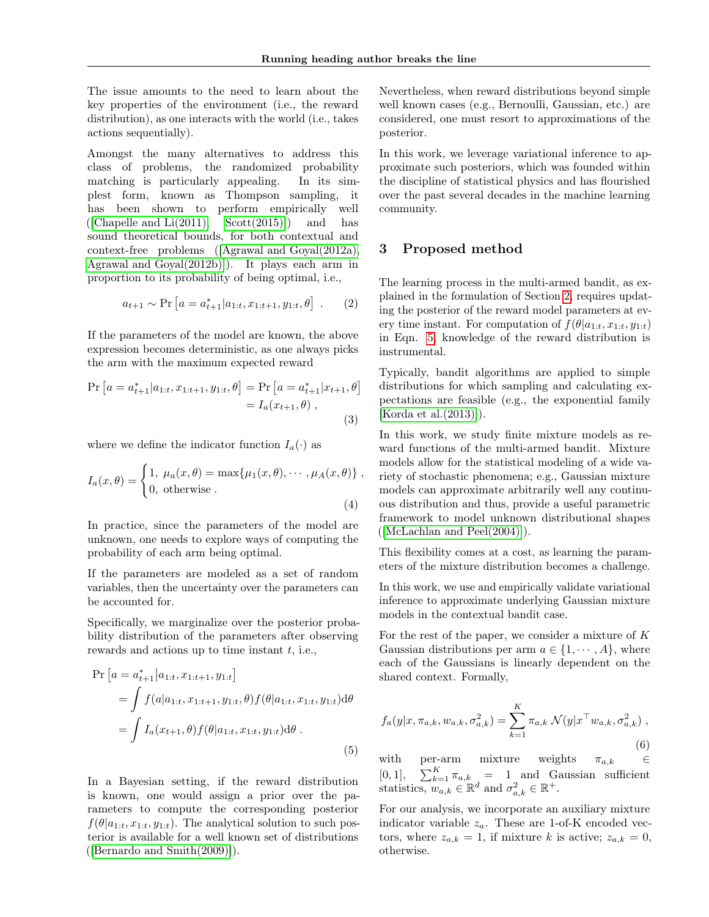The issue amounts to the need to learn about the key properties of the environment (i.e., the reward distribution), as one interacts with the world (i.e., takes actions sequentially).

Amongst the many alternatives to address this class of problems, the randomized probability matching is particularly appealing. In its simplest form, known as Thompson sampling, it has been shown to perform empirically well  $([Chapter 2011], \quad Scott(2015)]$  $([Chapter 2011], \quad Scott(2015)]$  and has sound theoretical bounds, for both contextual and context-free problems ([\[Agrawal and Goyal\(2012a\),](#page-7-3) [Agrawal and Goyal\(2012b\)\]](#page-7-4)). It plays each arm in proportion to its probability of being optimal, i.e.,

$$
a_{t+1} \sim \Pr\left[a = a_{t+1}^*|a_{1:t}, x_{1:t+1}, y_{1:t}, \theta\right]
$$
. (2)

If the parameters of the model are known, the above expression becomes deterministic, as one always picks the arm with the maximum expected reward

$$
\Pr\left[a = a_{t+1}^* | a_{1:t}, x_{1:t+1}, y_{1:t}, \theta\right] = \Pr\left[a = a_{t+1}^* | x_{t+1}, \theta\right] \\
= I_a(x_{t+1}, \theta) , \tag{3}
$$

where we define the indicator function  $I_a(\cdot)$  as

$$
I_a(x,\theta) = \begin{cases} 1, \ \mu_a(x,\theta) = \max\{\mu_1(x,\theta), \cdots, \mu_A(x,\theta)\}, \\ 0, \ \text{otherwise} \end{cases}
$$
 (4)

In practice, since the parameters of the model are unknown, one needs to explore ways of computing the probability of each arm being optimal.

If the parameters are modeled as a set of random variables, then the uncertainty over the parameters can be accounted for.

Specifically, we marginalize over the posterior probability distribution of the parameters after observing rewards and actions up to time instant  $t$ , i.e.,

$$
\Pr\left[a = a_{t+1}^* | a_{1:t}, x_{1:t+1}, y_{1:t}\right] \n= \int f(a|a_{1:t}, x_{1:t+1}, y_{1:t}, \theta) f(\theta|a_{1:t}, x_{1:t}, y_{1:t}) d\theta \n= \int I_a(x_{t+1}, \theta) f(\theta|a_{1:t}, x_{1:t}, y_{1:t}) d\theta.
$$
\n(5)

In a Bayesian setting, if the reward distribution is known, one would assign a prior over the parameters to compute the corresponding posterior  $f(\theta|a_{1:t}, x_{1:t}, y_{1:t})$ . The analytical solution to such posterior is available for a well known set of distributions ([\[Bernardo and Smith\(2009\)\]](#page-7-9)).

Nevertheless, when reward distributions beyond simple well known cases (e.g., Bernoulli, Gaussian, etc.) are considered, one must resort to approximations of the posterior.

In this work, we leverage variational inference to approximate such posteriors, which was founded within the discipline of statistical physics and has flourished over the past several decades in the machine learning community.

# <span id="page-2-0"></span>3 Proposed method

The learning process in the multi-armed bandit, as explained in the formulation of Section [2,](#page-1-0) requires updating the posterior of the reward model parameters at every time instant. For computation of  $f(\theta|a_{1:t}, x_{1:t}, y_{1:t})$ in Eqn. [5,](#page-2-1) knowledge of the reward distribution is instrumental.

Typically, bandit algorithms are applied to simple distributions for which sampling and calculating expectations are feasible (e.g., the exponential family [\[Korda et al.\(2013\)\]](#page-7-5)).

In this work, we study finite mixture models as reward functions of the multi-armed bandit. Mixture models allow for the statistical modeling of a wide variety of stochastic phenomena; e.g., Gaussian mixture models can approximate arbitrarily well any continuous distribution and thus, provide a useful parametric framework to model unknown distributional shapes  $([McLachlan and Peel(2004)]).$  $([McLachlan and Peel(2004)]).$  $([McLachlan and Peel(2004)]).$ 

This flexibility comes at a cost, as learning the parameters of the mixture distribution becomes a challenge.

In this work, we use and empirically validate variational inference to approximate underlying Gaussian mixture models in the contextual bandit case.

<span id="page-2-1"></span>For the rest of the paper, we consider a mixture of  $K$ Gaussian distributions per arm  $a \in \{1, \dots, A\}$ , where each of the Gaussians is linearly dependent on the shared context. Formally,

<span id="page-2-2"></span>
$$
f_a(y|x, \pi_{a,k}, w_{a,k}, \sigma_{a,k}^2) = \sum_{k=1}^K \pi_{a,k} \mathcal{N}(y|x^\top w_{a,k}, \sigma_{a,k}^2) ,
$$
\n(6)

with per-arm mixture weights  $\pi_{a,k}$   $\in$ [0, 1],  $\sum_{k=1}^{K} \pi_{a,k}$  = 1 and Gaussian sufficient statistics,  $w_{a,k} \in \mathbb{R}^d$  and  $\sigma_{a,k}^2 \in \mathbb{R}^+$ .

For our analysis, we incorporate an auxiliary mixture indicator variable  $z_a$ . These are 1-of-K encoded vectors, where  $z_{a,k} = 1$ , if mixture k is active;  $z_{a,k} = 0$ , otherwise.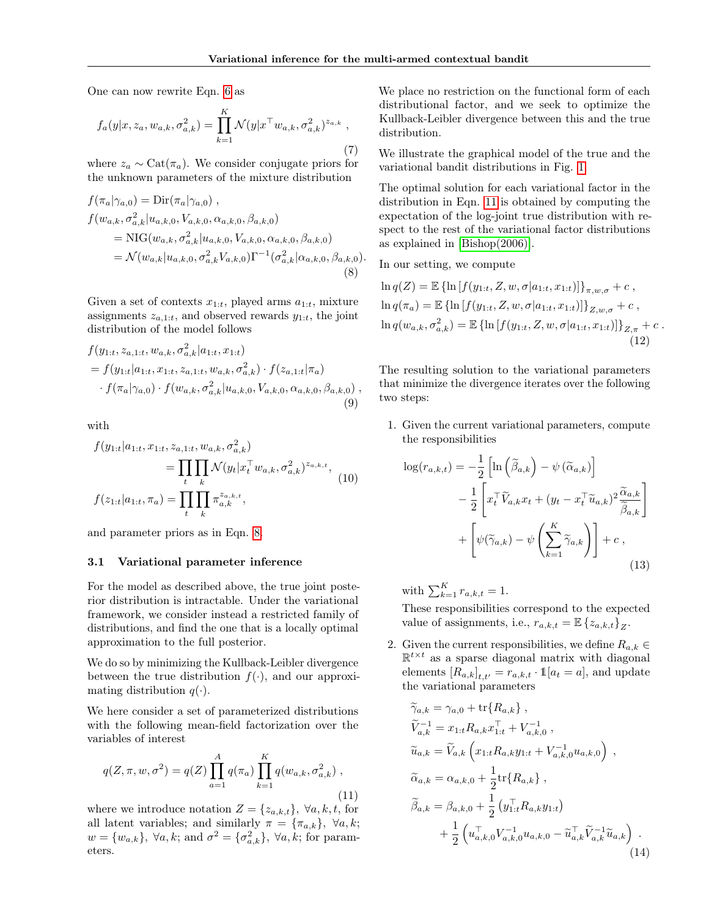One can now rewrite Eqn. [6](#page-2-2) as

$$
f_a(y|x, z_a, w_{a,k}, \sigma_{a,k}^2) = \prod_{k=1}^K \mathcal{N}(y|x^\top w_{a,k}, \sigma_{a,k}^2)^{z_{a,k}},
$$
\n(7)

where  $z_a \sim \text{Cat}(\pi_a)$ . We consider conjugate priors for the unknown parameters of the mixture distribution

$$
f(\pi_a|\gamma_{a,0}) = \text{Dir}(\pi_a|\gamma_{a,0}),
$$
  
\n
$$
f(w_{a,k}, \sigma_{a,k}^2|u_{a,k,0}, V_{a,k,0}, \alpha_{a,k,0}, \beta_{a,k,0})
$$
  
\n
$$
= \text{NIG}(w_{a,k}, \sigma_{a,k}^2|u_{a,k,0}, V_{a,k,0}, \alpha_{a,k,0}, \beta_{a,k,0})
$$
  
\n
$$
= \mathcal{N}(w_{a,k}|u_{a,k,0}, \sigma_{a,k}^2V_{a,k,0})\Gamma^{-1}(\sigma_{a,k}^2|\alpha_{a,k,0}, \beta_{a,k,0}).
$$
  
\n(8)

Given a set of contexts  $x_{1:t}$ , played arms  $a_{1:t}$ , mixture assignments  $z_{a,1:t}$ , and observed rewards  $y_{1:t}$ , the joint distribution of the model follows

$$
f(y_{1:t}, z_{a,1:t}, w_{a,k}, \sigma_{a,k}^2 | a_{1:t}, x_{1:t})
$$
  
=  $f(y_{1:t}|a_{1:t}, x_{1:t}, z_{a,1:t}, w_{a,k}, \sigma_{a,k}^2) \cdot f(z_{a,1:t}|\pi_a)$   
 $\cdot f(\pi_a|\gamma_{a,0}) \cdot f(w_{a,k}, \sigma_{a,k}^2 | u_{a,k,0}, V_{a,k,0}, \alpha_{a,k,0}, \beta_{a,k,0}),$   
(9)

with

$$
f(y_{1:t}|a_{1:t}, x_{1:t}, z_{a,1:t}, w_{a,k}, \sigma_{a,k}^2)
$$
  
= 
$$
\prod_t \prod_k \mathcal{N}(y_t|x_t^\top w_{a,k}, \sigma_{a,k}^2)^{z_{a,k,t}},
$$
  

$$
f(z_{1:t}|a_{1:t}, \pi_a) = \prod_t \prod_k \pi_{a,k}^{z_{a,k,t}},
$$
 (10)

and parameter priors as in Eqn. [8.](#page-3-0)

#### <span id="page-3-2"></span>3.1 Variational parameter inference

For the model as described above, the true joint posterior distribution is intractable. Under the variational framework, we consider instead a restricted family of distributions, and find the one that is a locally optimal approximation to the full posterior.

We do so by minimizing the Kullback-Leibler divergence between the true distribution  $f(\cdot)$ , and our approximating distribution  $q(\cdot)$ .

We here consider a set of parameterized distributions with the following mean-field factorization over the variables of interest

<span id="page-3-1"></span>
$$
q(Z, \pi, w, \sigma^2) = q(Z) \prod_{a=1}^{A} q(\pi_a) \prod_{k=1}^{K} q(w_{a,k}, \sigma^2_{a,k}),
$$
\n(11)

where we introduce notation  $Z = \{z_{a,k,t}\}, \forall a, k, t$ , for all latent variables; and similarly  $\pi = {\pi_{a,k}}$ ,  $\forall a, k$ ;  $w = \{w_{a,k}\},\ \forall a,k;\ \text{and}\ \sigma^2 = \{\sigma_{a,k}^2\},\ \forall a,k;\ \text{for param-}$ eters.

We place no restriction on the functional form of each distributional factor, and we seek to optimize the Kullback-Leibler divergence between this and the true distribution.

We illustrate the graphical model of the true and the variational bandit distributions in Fig. [1.](#page-4-0)

<span id="page-3-0"></span>The optimal solution for each variational factor in the distribution in Eqn. [11](#page-3-1) is obtained by computing the expectation of the log-joint true distribution with respect to the rest of the variational factor distributions as explained in [\[Bishop\(2006\)\]](#page-7-6).

In our setting, we compute

$$
\ln q(Z) = \mathbb{E} \left\{ \ln \left[ f(y_{1:t}, Z, w, \sigma | a_{1:t}, x_{1:t}) \right] \right\}_{\pi, w, \sigma} + c ,
$$
  
\n
$$
\ln q(\pi_a) = \mathbb{E} \left\{ \ln \left[ f(y_{1:t}, Z, w, \sigma | a_{1:t}, x_{1:t}) \right] \right\}_{Z, w, \sigma} + c ,
$$
  
\n
$$
\ln q(w_{a,k}, \sigma_{a,k}^2) = \mathbb{E} \left\{ \ln \left[ f(y_{1:t}, Z, w, \sigma | a_{1:t}, x_{1:t}) \right] \right\}_{Z, \pi} + c .
$$
  
\n(12)

The resulting solution to the variational parameters that minimize the divergence iterates over the following two steps:

1. Given the current variational parameters, compute the responsibilities

$$
\log(r_{a,k,t}) = -\frac{1}{2} \left[ \ln\left(\tilde{\beta}_{a,k}\right) - \psi\left(\tilde{\alpha}_{a,k}\right) \right] \n- \frac{1}{2} \left[ x_t^\top \tilde{V}_{a,k} x_t + (y_t - x_t^\top \tilde{u}_{a,k})^2 \frac{\tilde{\alpha}_{a,k}}{\tilde{\beta}_{a,k}} \right] \n+ \left[ \psi(\tilde{\gamma}_{a,k}) - \psi\left(\sum_{k=1}^K \tilde{\gamma}_{a,k}\right) \right] + c ,
$$
\n(13)

with  $\sum_{k=1}^{K} r_{a,k,t} = 1$ .

These responsibilities correspond to the expected value of assignments, i.e.,  $r_{a,k,t} = \mathbb{E} \left\{ z_{a,k,t} \right\}_Z$ .

2. Given the current responsibilities, we define  $R_{a,k} \in$  $\mathbb{R}^{t \times t}$  as a sparse diagonal matrix with diagonal elements  $[R_{a,k}]_{t,t'} = r_{a,k,t} \cdot \mathbb{1}[a_t = a]$ , and update the variational parameters

$$
\widetilde{\gamma}_{a,k} = \gamma_{a,0} + \text{tr}\{R_{a,k}\}, \n\widetilde{V}_{a,k}^{-1} = x_{1:t}R_{a,k}x_{1:t}^{\top} + V_{a,k,0}^{-1} ,\n\widetilde{u}_{a,k} = \widetilde{V}_{a,k} \left(x_{1:t}R_{a,k}y_{1:t} + V_{a,k,0}^{-1}u_{a,k,0}\right) ,\n\widetilde{\alpha}_{a,k} = \alpha_{a,k,0} + \frac{1}{2}\text{tr}\{R_{a,k}\},\n\widetilde{\beta}_{a,k} = \beta_{a,k,0} + \frac{1}{2} \left(y_{1:t}^{\top}R_{a,k}y_{1:t}\right) \n+ \frac{1}{2} \left(u_{a,k,0}^{\top}V_{a,k,0}^{-1}u_{a,k,0} - \widetilde{u}_{a,k}^{\top}\widetilde{V}_{a,k}^{-1}\widetilde{u}_{a,k}\right) .
$$
\n(14)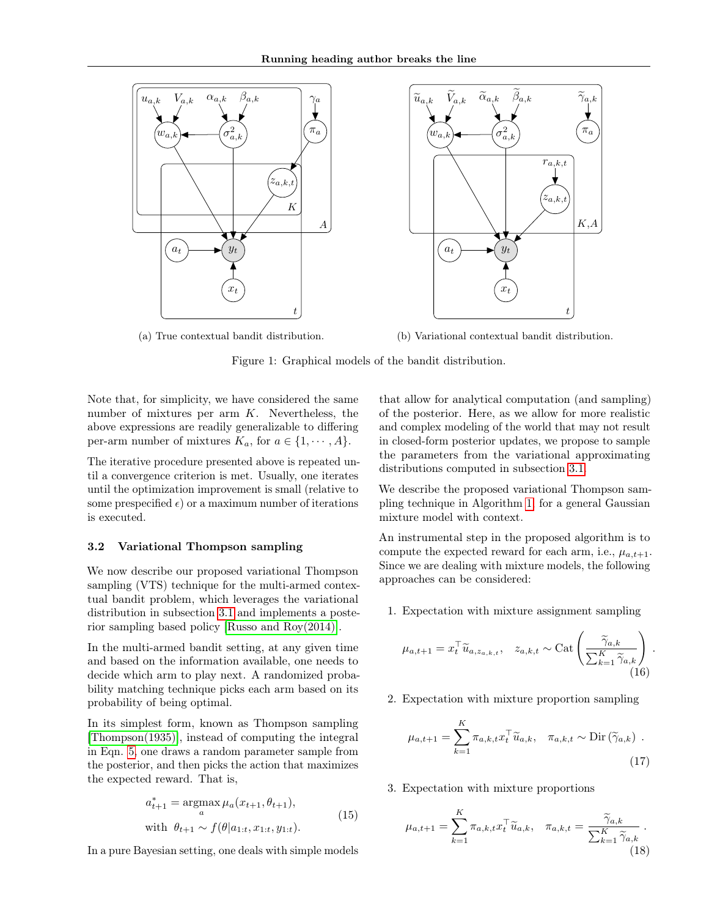<span id="page-4-0"></span>

(a) True contextual bandit distribution.

(b) Variational contextual bandit distribution.



Note that, for simplicity, we have considered the same number of mixtures per arm  $K$ . Nevertheless, the above expressions are readily generalizable to differing per-arm number of mixtures  $K_a$ , for  $a \in \{1, \dots, A\}$ .

The iterative procedure presented above is repeated until a convergence criterion is met. Usually, one iterates until the optimization improvement is small (relative to some prespecified  $\epsilon$ ) or a maximum number of iterations is executed.

#### <span id="page-4-1"></span>3.2 Variational Thompson sampling

We now describe our proposed variational Thompson sampling (VTS) technique for the multi-armed contextual bandit problem, which leverages the variational distribution in subsection [3.1](#page-3-2) and implements a posterior sampling based policy [\[Russo and Roy\(2014\)\]](#page-8-8).

In the multi-armed bandit setting, at any given time and based on the information available, one needs to decide which arm to play next. A randomized probability matching technique picks each arm based on its probability of being optimal.

In its simplest form, known as Thompson sampling [\[Thompson\(1935\)\]](#page-8-2), instead of computing the integral in Eqn. [5,](#page-2-1) one draws a random parameter sample from the posterior, and then picks the action that maximizes the expected reward. That is,

$$
a_{t+1}^{*} = \underset{a}{\operatorname{argmax}} \mu_a(x_{t+1}, \theta_{t+1}),
$$
  
with  $\theta_{t+1} \sim f(\theta | a_{1:t}, x_{1:t}, y_{1:t}).$  (15)

In a pure Bayesian setting, one deals with simple models

that allow for analytical computation (and sampling) of the posterior. Here, as we allow for more realistic and complex modeling of the world that may not result in closed-form posterior updates, we propose to sample the parameters from the variational approximating distributions computed in subsection [3.1.](#page-3-2)

We describe the proposed variational Thompson sampling technique in Algorithm [1,](#page-5-1) for a general Gaussian mixture model with context.

An instrumental step in the proposed algorithm is to compute the expected reward for each arm, i.e.,  $\mu_{a,t+1}$ . Since we are dealing with mixture models, the following approaches can be considered:

1. Expectation with mixture assignment sampling

$$
\mu_{a,t+1} = x_t^\top \widetilde{u}_{a,z_{a,k,t}}, \quad z_{a,k,t} \sim \text{Cat}\left(\frac{\widetilde{\gamma}_{a,k}}{\sum_{k=1}^K \widetilde{\gamma}_{a,k}}\right)
$$
\n(16)

.

2. Expectation with mixture proportion sampling

$$
\mu_{a,t+1} = \sum_{k=1}^{K} \pi_{a,k,t} x_t^\top \widetilde{u}_{a,k}, \quad \pi_{a,k,t} \sim \text{Dir}(\widetilde{\gamma}_{a,k})
$$
 (17)

3. Expectation with mixture proportions

$$
\mu_{a,t+1} = \sum_{k=1}^{K} \pi_{a,k,t} x_t^\top \widetilde{u}_{a,k}, \quad \pi_{a,k,t} = \frac{\widetilde{\gamma}_{a,k}}{\sum_{k=1}^{K} \widetilde{\gamma}_{a,k}}.
$$
\n(18)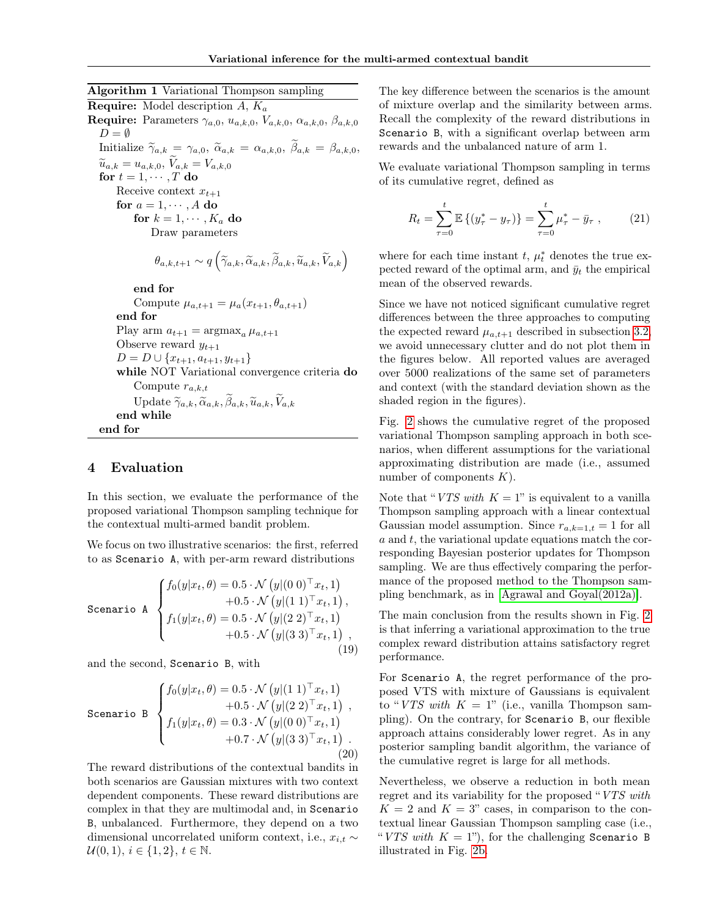<span id="page-5-1"></span>Algorithm 1 Variational Thompson sampling **Require:** Model description A,  $K_a$ Require: Parameters  $\gamma_{a,0}, u_{a,k,0}, V_{a,k,0}, \alpha_{a,k,0}, \beta_{a,k,0}$  $D = \emptyset$ Initialize  $\widetilde{\gamma}_{a,k} = \gamma_{a,0}, \ \widetilde{\alpha}_{a,k} = \alpha_{a,k,0}, \ \widetilde{\beta}_{a,k} = \beta_{a,k,0}$  $\widetilde{u}_{a,k} = u_{a,k,0}, V_{a,k} = V_{a,k,0}$ for  $t = 1, \cdots, T$  do

Receive context  $x_{t+1}$ for  $a = 1, \dots, A$  do for  $k = 1, \cdots, K_a$  do Draw parameters

$$
\theta_{a,k,t+1} \sim q\left(\widetilde{\gamma}_{a,k}, \widetilde{\alpha}_{a,k}, \widetilde{\beta}_{a,k}, \widetilde{u}_{a,k}, \widetilde{V}_{a,k}\right)
$$

end for

Compute  $\mu_{a,t+1} = \mu_a(x_{t+1}, \theta_{a,t+1})$ end for Play arm  $a_{t+1} = \operatorname{argmax}_a \mu_{a,t+1}$ Observe reward  $y_{t+1}$  $D = D \cup \{x_{t+1}, a_{t+1}, y_{t+1}\}$ while NOT Variational convergence criteria do Compute  $r_{a,k,t}$ Update  $\widetilde{\gamma}_{a,k}, \widetilde{\alpha}_{a,k}, \widetilde{\beta}_{a,k}, \widetilde{u}_{a,k}, \widetilde{V}_{a,k}$ end while end for

# <span id="page-5-0"></span>4 Evaluation

In this section, we evaluate the performance of the proposed variational Thompson sampling technique for the contextual multi-armed bandit problem.

We focus on two illustrative scenarios: the first, referred to as Scenario A, with per-arm reward distributions

Scenario A

\n
$$
\begin{cases}\nf_0(y|x_t, \theta) = 0.5 \cdot \mathcal{N}\left(y|(0\ 0)^{\top}x_t, 1\right) \\
+ 0.5 \cdot \mathcal{N}\left(y|(1\ 1)^{\top}x_t, 1\right), \\
f_1(y|x_t, \theta) = 0.5 \cdot \mathcal{N}\left(y|(2\ 2)^{\top}x_t, 1\right) \\
+ 0.5 \cdot \mathcal{N}\left(y|(3\ 3)^{\top}x_t, 1\right),\n\end{cases}
$$
\n(19)

and the second, Scenario B, with

Scenario B

\n
$$
\begin{cases}\nf_0(y|x_t, \theta) = 0.5 \cdot \mathcal{N}(y|(1\ 1)^{\top}x_t, 1) \\
+ 0.5 \cdot \mathcal{N}(y|(2\ 2)^{\top}x_t, 1) \\
f_1(y|x_t, \theta) = 0.3 \cdot \mathcal{N}(y|(0\ 0)^{\top}x_t, 1) \\
+ 0.7 \cdot \mathcal{N}(y|(3\ 3)^{\top}x_t, 1).\n\end{cases}
$$
\n(20)

The reward distributions of the contextual bandits in both scenarios are Gaussian mixtures with two context dependent components. These reward distributions are complex in that they are multimodal and, in Scenario B, unbalanced. Furthermore, they depend on a two dimensional uncorrelated uniform context, i.e.,  $x_{i,t} \sim$  $\mathcal{U}(0, 1), i \in \{1, 2\}, t \in \mathbb{N}.$ 

The key difference between the scenarios is the amount of mixture overlap and the similarity between arms. Recall the complexity of the reward distributions in Scenario B, with a significant overlap between arm rewards and the unbalanced nature of arm 1.

We evaluate variational Thompson sampling in terms of its cumulative regret, defined as

$$
R_t = \sum_{\tau=0}^t \mathbb{E}\left\{(y_{\tau}^* - y_{\tau})\right\} = \sum_{\tau=0}^t \mu_{\tau}^* - \bar{y}_{\tau} ,\qquad(21)
$$

where for each time instant  $t, \mu_t^*$  denotes the true expected reward of the optimal arm, and  $\bar{y}_t$  the empirical mean of the observed rewards.

Since we have not noticed significant cumulative regret differences between the three approaches to computing the expected reward  $\mu_{a,t+1}$  described in subsection [3.2,](#page-4-1) we avoid unnecessary clutter and do not plot them in the figures below. All reported values are averaged over 5000 realizations of the same set of parameters and context (with the standard deviation shown as the shaded region in the figures).

Fig. [2](#page-6-0) shows the cumulative regret of the proposed variational Thompson sampling approach in both scenarios, when different assumptions for the variational approximating distribution are made (i.e., assumed number of components  $K$ ).

Note that "*VTS with*  $K = 1$ " is equivalent to a vanilla Thompson sampling approach with a linear contextual Gaussian model assumption. Since  $r_{a,k=1,t} = 1$  for all  $a$  and  $t$ , the variational update equations match the corresponding Bayesian posterior updates for Thompson sampling. We are thus effectively comparing the performance of the proposed method to the Thompson sampling benchmark, as in [\[Agrawal and Goyal\(2012a\)\]](#page-7-3).

The main conclusion from the results shown in Fig. [2](#page-6-0) is that inferring a variational approximation to the true complex reward distribution attains satisfactory regret performance.

<span id="page-5-2"></span>For Scenario A, the regret performance of the proposed VTS with mixture of Gaussians is equivalent to "VTS with  $K = 1$ " (i.e., vanilla Thompson sampling). On the contrary, for Scenario B, our flexible approach attains considerably lower regret. As in any posterior sampling bandit algorithm, the variance of the cumulative regret is large for all methods.

Nevertheless, we observe a reduction in both mean regret and its variability for the proposed "VTS with  $K = 2$  and  $K = 3$ " cases, in comparison to the contextual linear Gaussian Thompson sampling case (i.e., "VTS with  $K = 1$ "), for the challenging Scenario B illustrated in Fig. [2b.](#page-6-0)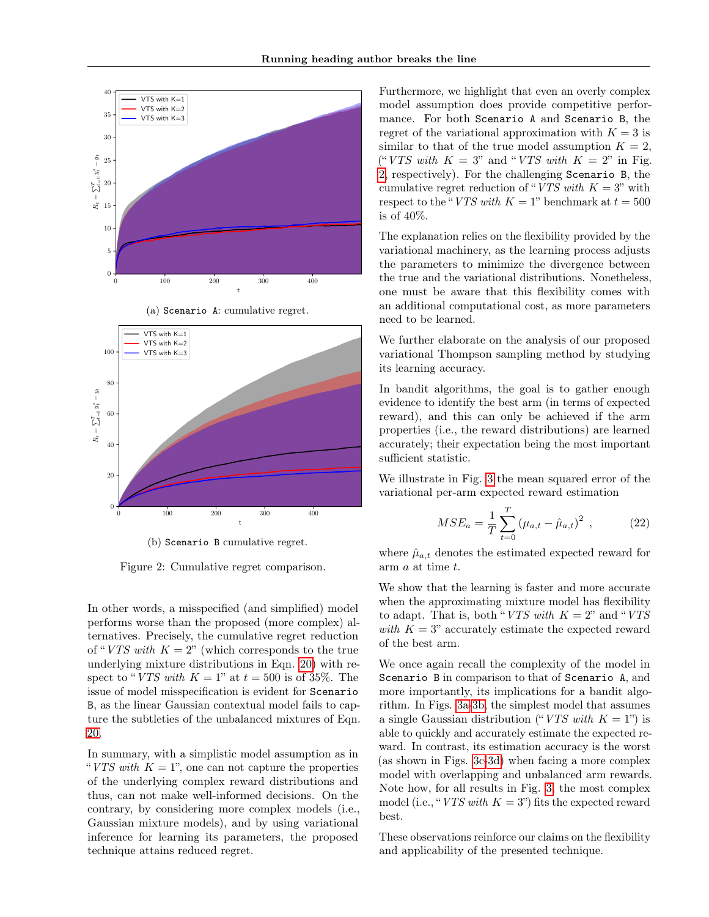<span id="page-6-0"></span>



(a) Scenario A: cumulative regret.

(b) Scenario B cumulative regret.

Figure 2: Cumulative regret comparison.

In other words, a misspecified (and simplified) model performs worse than the proposed (more complex) alternatives. Precisely, the cumulative regret reduction of "VTS with  $K = 2$ " (which corresponds to the true underlying mixture distributions in Eqn. [20\)](#page-5-2) with respect to "VTS with  $K = 1$ " at  $t = 500$  is of 35%. The issue of model misspecification is evident for Scenario B, as the linear Gaussian contextual model fails to capture the subtleties of the unbalanced mixtures of Eqn. [20.](#page-5-2)

In summary, with a simplistic model assumption as in "VTS with  $K = 1$ ", one can not capture the properties" of the underlying complex reward distributions and thus, can not make well-informed decisions. On the contrary, by considering more complex models (i.e., Gaussian mixture models), and by using variational inference for learning its parameters, the proposed technique attains reduced regret.

Furthermore, we highlight that even an overly complex model assumption does provide competitive performance. For both Scenario A and Scenario B, the regret of the variational approximation with  $K = 3$  is similar to that of the true model assumption  $K = 2$ , ("VTS with  $K = 3$ " and "VTS with  $K = 2$ " in Fig. [2,](#page-6-0) respectively). For the challenging Scenario B, the cumulative regret reduction of "VTS with  $K = 3$ " with respect to the "VTS with  $K = 1$ " benchmark at  $t = 500$ is of 40%.

The explanation relies on the flexibility provided by the variational machinery, as the learning process adjusts the parameters to minimize the divergence between the true and the variational distributions. Nonetheless, one must be aware that this flexibility comes with an additional computational cost, as more parameters need to be learned.

We further elaborate on the analysis of our proposed variational Thompson sampling method by studying its learning accuracy.

In bandit algorithms, the goal is to gather enough evidence to identify the best arm (in terms of expected reward), and this can only be achieved if the arm properties (i.e., the reward distributions) are learned accurately; their expectation being the most important sufficient statistic.

We illustrate in Fig. [3](#page-7-10) the mean squared error of the variational per-arm expected reward estimation

$$
MSE_a = \frac{1}{T} \sum_{t=0}^{T} (\mu_{a,t} - \hat{\mu}_{a,t})^2 , \qquad (22)
$$

where  $\hat{\mu}_{a,t}$  denotes the estimated expected reward for arm a at time t.

We show that the learning is faster and more accurate when the approximating mixture model has flexibility to adapt. That is, both "*VTS with*  $K = 2$ " and "*VTS* with  $K = 3$ " accurately estimate the expected reward of the best arm.

We once again recall the complexity of the model in Scenario B in comparison to that of Scenario A, and more importantly, its implications for a bandit algorithm. In Figs. [3a-3b,](#page-7-10) the simplest model that assumes a single Gaussian distribution ("VTS with  $K = 1$ ") is able to quickly and accurately estimate the expected reward. In contrast, its estimation accuracy is the worst (as shown in Figs. [3c-3d\)](#page-7-10) when facing a more complex model with overlapping and unbalanced arm rewards. Note how, for all results in Fig. [3,](#page-7-10) the most complex model (i.e., "VTS with  $K = 3$ ") fits the expected reward best.

These observations reinforce our claims on the flexibility and applicability of the presented technique.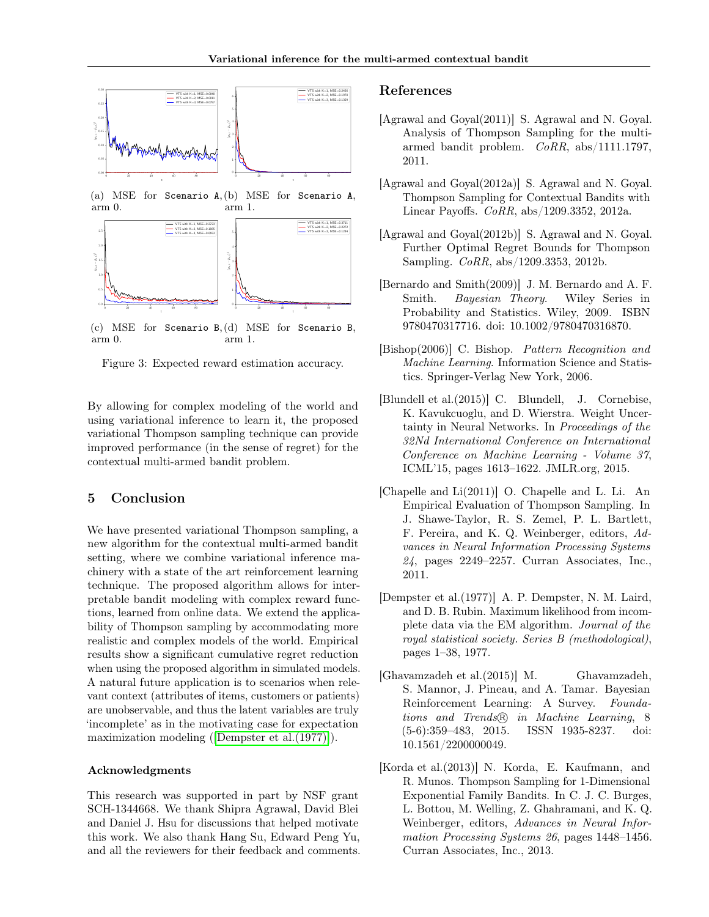<span id="page-7-10"></span>

(a) MSE for Scenario A, (b) MSE for Scenario A, arm 0. arm 1.



(c) MSE for Scenario B, (d) MSE for Scenario B, arm 0. arm 1.

Figure 3: Expected reward estimation accuracy.

By allowing for complex modeling of the world and using variational inference to learn it, the proposed variational Thompson sampling technique can provide improved performance (in the sense of regret) for the contextual multi-armed bandit problem.

# <span id="page-7-8"></span>5 Conclusion

We have presented variational Thompson sampling, a new algorithm for the contextual multi-armed bandit setting, where we combine variational inference machinery with a state of the art reinforcement learning technique. The proposed algorithm allows for interpretable bandit modeling with complex reward functions, learned from online data. We extend the applicability of Thompson sampling by accommodating more realistic and complex models of the world. Empirical results show a significant cumulative regret reduction when using the proposed algorithm in simulated models. A natural future application is to scenarios when relevant context (attributes of items, customers or patients) are unobservable, and thus the latent variables are truly 'incomplete' as in the motivating case for expectation maximization modeling ([\[Dempster et al.\(1977\)\]](#page-7-11)).

#### Acknowledgments

This research was supported in part by NSF grant SCH-1344668. We thank Shipra Agrawal, David Blei and Daniel J. Hsu for discussions that helped motivate this work. We also thank Hang Su, Edward Peng Yu, and all the reviewers for their feedback and comments.

### References

- <span id="page-7-2"></span>[Agrawal and Goyal(2011)] S. Agrawal and N. Goyal. Analysis of Thompson Sampling for the multiarmed bandit problem. CoRR, abs/1111.1797, 2011.
- <span id="page-7-3"></span>[Agrawal and Goyal(2012a)] S. Agrawal and N. Goyal. Thompson Sampling for Contextual Bandits with Linear Payoffs. CoRR, abs/1209.3352, 2012a.
- <span id="page-7-4"></span>[Agrawal and Goyal(2012b)] S. Agrawal and N. Goyal. Further Optimal Regret Bounds for Thompson Sampling. CoRR, abs/1209.3353, 2012b.
- <span id="page-7-9"></span>[Bernardo and Smith(2009)] J. M. Bernardo and A. F. Smith. Bayesian Theory. Wiley Series in Probability and Statistics. Wiley, 2009. ISBN 9780470317716. doi: 10.1002/9780470316870.
- <span id="page-7-6"></span>[Bishop(2006)] C. Bishop. Pattern Recognition and Machine Learning. Information Science and Statistics. Springer-Verlag New York, 2006.
- <span id="page-7-7"></span>[Blundell et al.(2015)] C. Blundell, J. Cornebise, K. Kavukcuoglu, and D. Wierstra. Weight Uncertainty in Neural Networks. In Proceedings of the 32Nd International Conference on International Conference on Machine Learning - Volume 37, ICML'15, pages 1613–1622. JMLR.org, 2015.
- <span id="page-7-1"></span>[Chapelle and Li(2011)] O. Chapelle and L. Li. An Empirical Evaluation of Thompson Sampling. In J. Shawe-Taylor, R. S. Zemel, P. L. Bartlett, F. Pereira, and K. Q. Weinberger, editors, Advances in Neural Information Processing Systems 24, pages 2249–2257. Curran Associates, Inc., 2011.
- <span id="page-7-11"></span>[Dempster et al.(1977)] A. P. Dempster, N. M. Laird, and D. B. Rubin. Maximum likelihood from incomplete data via the EM algorithm. Journal of the royal statistical society. Series B (methodological), pages 1–38, 1977.
- <span id="page-7-0"></span>[Ghavamzadeh et al.(2015)] M. Ghavamzadeh, S. Mannor, J. Pineau, and A. Tamar. Bayesian Reinforcement Learning: A Survey. Founda $tions$  and Trends® in Machine Learning, 8 <br>  $(5-6):359-483$ , 2015. ISSN 1935-8237. doi:  $(5-6):359-483, 2015.$ 10.1561/2200000049.
- <span id="page-7-5"></span>[Korda et al.(2013)] N. Korda, E. Kaufmann, and R. Munos. Thompson Sampling for 1-Dimensional Exponential Family Bandits. In C. J. C. Burges, L. Bottou, M. Welling, Z. Ghahramani, and K. Q. Weinberger, editors, Advances in Neural Information Processing Systems 26, pages 1448–1456. Curran Associates, Inc., 2013.